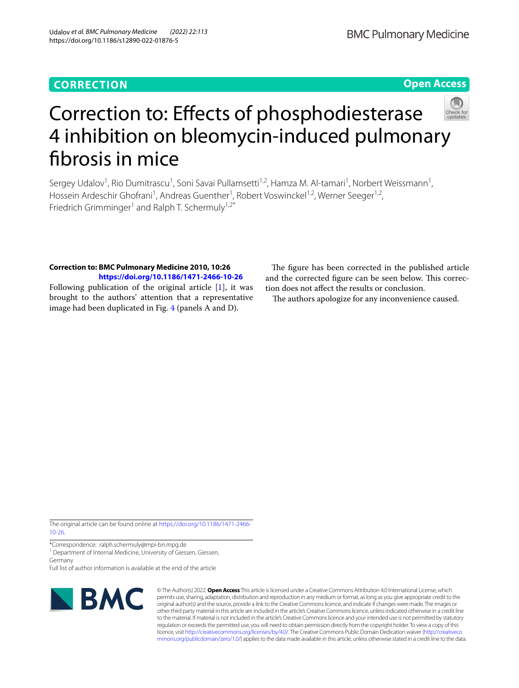## **CORRECTION**

**Open Access**



# Correction to: Efects of phosphodiesterase 4 inhibition on bleomycin-induced pulmonary fbrosis in mice

Sergey Udalov<sup>1</sup>, Rio Dumitrascu<sup>1</sup>, Soni Savai Pullamsetti<sup>1,2</sup>, Hamza M. Al-tamari<sup>1</sup>, Norbert Weissmann<sup>1</sup>, Hossein Ardeschir Ghofrani<sup>1</sup>, Andreas Guenther<sup>1</sup>, Robert Voswinckel<sup>1,2</sup>, Werner Seeger<sup>1,2</sup>, Friedrich Grimminger<sup>1</sup> and Ralph T. Schermuly<sup>1,2\*</sup>

### **Correction to: BMC Pulmonary Medicine 2010, 10:26 <https://doi.org/10.1186/1471-2466-10-26>**

Following publication of the original article [\[1](#page-1-0)], it was brought to the authors' attention that a representative image had been duplicated in Fig. [4](#page-1-1) (panels A and D).

The figure has been corrected in the published article and the corrected figure can be seen below. This correction does not afect the results or conclusion.

The authors apologize for any inconvenience caused.

The original article can be found online at [https://doi.org/10.1186/1471-2466-](https://doi.org/10.1186/1471-2466-10-26) [10-26.](https://doi.org/10.1186/1471-2466-10-26)

\*Correspondence: ralph.schermuly@mpi-bn.mpg.de

<sup>1</sup> Department of Internal Medicine, University of Giessen, Giessen, Germany

Full list of author information is available at the end of the article



© The Author(s) 2022. **Open Access** This article is licensed under a Creative Commons Attribution 4.0 International License, which permits use, sharing, adaptation, distribution and reproduction in any medium or format, as long as you give appropriate credit to the original author(s) and the source, provide a link to the Creative Commons licence, and indicate if changes were made. The images or other third party material in this article are included in the article's Creative Commons licence, unless indicated otherwise in a credit line to the material. If material is not included in the article's Creative Commons licence and your intended use is not permitted by statutory regulation or exceeds the permitted use, you will need to obtain permission directly from the copyright holder. To view a copy of this licence, visit [http://creativecommons.org/licenses/by/4.0/.](http://creativecommons.org/licenses/by/4.0/) The Creative Commons Public Domain Dedication waiver ([http://creativeco](http://creativecommons.org/publicdomain/zero/1.0/) [mmons.org/publicdomain/zero/1.0/](http://creativecommons.org/publicdomain/zero/1.0/)) applies to the data made available in this article, unless otherwise stated in a credit line to the data.